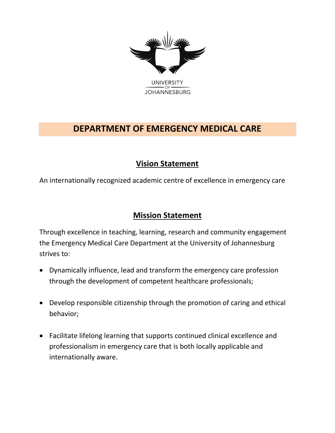

## **DEPARTMENT OF EMERGENCY MEDICAL CARE**

## **Vision Statement**

An internationally recognized academic centre of excellence in emergency care

## **Mission Statement**

Through excellence in teaching, learning, research and community engagement the Emergency Medical Care Department at the University of Johannesburg strives to:

- Dynamically influence, lead and transform the emergency care profession through the development of competent healthcare professionals;
- Develop responsible citizenship through the promotion of caring and ethical behavior;
- Facilitate lifelong learning that supports continued clinical excellence and professionalism in emergency care that is both locally applicable and internationally aware.